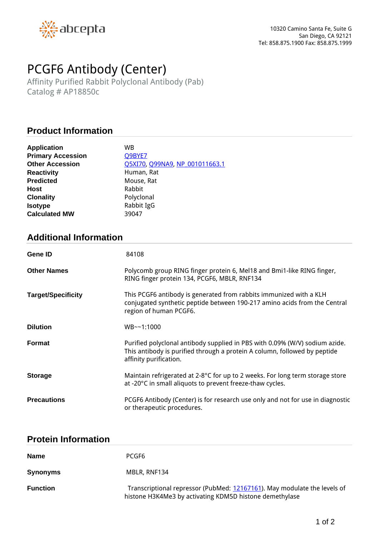

# *PCGF6 Antibody (Center)*

*Affinity Purified Rabbit Polyclonal Antibody (Pab) Catalog # AP18850c*

## **Product Information**

| <b>Application</b>       | WB                                    |
|--------------------------|---------------------------------------|
| <b>Primary Accession</b> | Q9BYE7                                |
| <b>Other Accession</b>   | <b>Q5XI70, Q99NA9, NP 001011663.1</b> |
| <b>Reactivity</b>        | Human, Rat                            |
| <b>Predicted</b>         | Mouse, Rat                            |
| <b>Host</b>              | Rabbit                                |
| <b>Clonality</b>         | Polyclonal                            |
| <b>Isotype</b>           | Rabbit IgG                            |
| <b>Calculated MW</b>     | 39047                                 |

## **Additional Information**

| Gene ID                   | 84108                                                                                                                                                                              |
|---------------------------|------------------------------------------------------------------------------------------------------------------------------------------------------------------------------------|
| <b>Other Names</b>        | Polycomb group RING finger protein 6, Mel18 and Bmi1-like RING finger,<br>RING finger protein 134, PCGF6, MBLR, RNF134                                                             |
| <b>Target/Specificity</b> | This PCGF6 antibody is generated from rabbits immunized with a KLH<br>conjugated synthetic peptide between 190-217 amino acids from the Central<br>region of human PCGF6.          |
| <b>Dilution</b>           | $WB - -1:1000$                                                                                                                                                                     |
| Format                    | Purified polyclonal antibody supplied in PBS with 0.09% (W/V) sodium azide.<br>This antibody is purified through a protein A column, followed by peptide<br>affinity purification. |
| <b>Storage</b>            | Maintain refrigerated at 2-8°C for up to 2 weeks. For long term storage store<br>at -20°C in small aliquots to prevent freeze-thaw cycles.                                         |
| <b>Precautions</b>        | PCGF6 Antibody (Center) is for research use only and not for use in diagnostic<br>or therapeutic procedures.                                                                       |

#### **Protein Information**

| <b>Name</b>     | PCGF6                                                                                                                               |
|-----------------|-------------------------------------------------------------------------------------------------------------------------------------|
| <b>Synonyms</b> | MBLR, RNF134                                                                                                                        |
| <b>Function</b> | Transcriptional repressor (PubMed: 12167161). May modulate the levels of<br>histone H3K4Me3 by activating KDM5D histone demethylase |